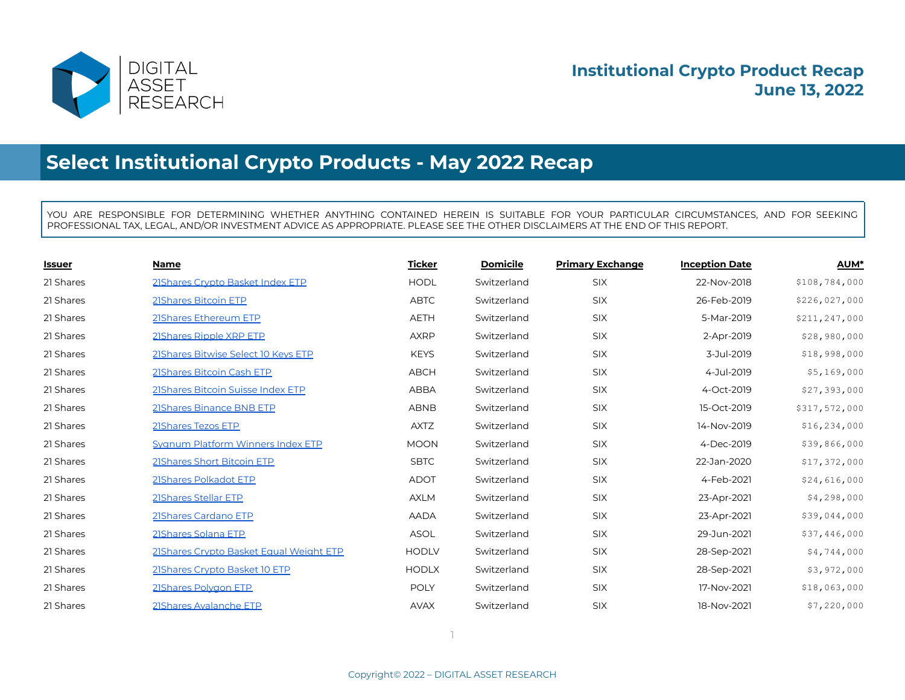

# **Select Institutional Crypto Products - May 2022 Recap**

YOU ARE RESPONSIBLE FOR DETERMINING WHETHER ANYTHING CONTAINED HEREIN IS SUITABLE FOR YOUR PARTICULAR CIRCUMSTANCES, AND FOR SEEKING PROFESSIONAL TAX, LEGAL, AND/OR INVESTMENT ADVICE AS APPROPRIATE. PLEASE SEE THE OTHER DISCLAIMERS AT THE END OF THIS REPORT.

| <b>Issuer</b> | <b>Name</b>                             | <b>Ticker</b> | <b>Domicile</b> | <b>Primary Exchange</b> | <b>Inception Date</b> | <b>AUM*</b>   |
|---------------|-----------------------------------------|---------------|-----------------|-------------------------|-----------------------|---------------|
| 21 Shares     | 21Shares Crypto Basket Index ETP        | <b>HODL</b>   | Switzerland     | SIX                     | 22-Nov-2018           | \$108,784,000 |
| 21 Shares     | 21Shares Bitcoin ETP                    | <b>ABTC</b>   | Switzerland     | <b>SIX</b>              | 26-Feb-2019           | \$226,027,000 |
| 21 Shares     | 21Shares Ethereum ETP                   | <b>AETH</b>   | Switzerland     | SIX                     | 5-Mar-2019            | \$211,247,000 |
| 21 Shares     | 21Shares Ripple XRP ETP                 | <b>AXRP</b>   | Switzerland     | SIX                     | 2-Apr-2019            | \$28,980,000  |
| 21 Shares     | 21 Shares Bitwise Select 10 Keys ETP    | <b>KEYS</b>   | Switzerland     | <b>SIX</b>              | 3-Jul-2019            | \$18,998,000  |
| 21 Shares     | 21Shares Bitcoin Cash ETP               | <b>ABCH</b>   | Switzerland     | SIX                     | 4-Jul-2019            | \$5,169,000   |
| 21 Shares     | 21Shares Bitcoin Suisse Index ETP       | <b>ABBA</b>   | Switzerland     | <b>SIX</b>              | 4-Oct-2019            | \$27,393,000  |
| 21 Shares     | 21Shares Binance BNB ETP                | <b>ABNB</b>   | Switzerland     | <b>SIX</b>              | 15-Oct-2019           | \$317,572,000 |
| 21 Shares     | 21Shares Tezos ETP                      | <b>AXTZ</b>   | Switzerland     | <b>SIX</b>              | 14-Nov-2019           | \$16,234,000  |
| 21 Shares     | Sygnum Platform Winners Index ETP       | <b>MOON</b>   | Switzerland     | SIX                     | 4-Dec-2019            | \$39,866,000  |
| 21 Shares     | 21Shares Short Bitcoin ETP              | <b>SBTC</b>   | Switzerland     | SIX                     | 22-Jan-2020           | \$17,372,000  |
| 21 Shares     | 21Shares Polkadot ETP                   | <b>ADOT</b>   | Switzerland     | <b>SIX</b>              | 4-Feb-2021            | \$24,616,000  |
| 21 Shares     | 21Shares Stellar ETP                    | <b>AXLM</b>   | Switzerland     | SIX                     | 23-Apr-2021           | \$4,298,000   |
| 21 Shares     | 21Shares Cardano ETP                    | <b>AADA</b>   | Switzerland     | SIX                     | 23-Apr-2021           | \$39,044,000  |
| 21 Shares     | 21Shares Solana ETP                     | <b>ASOL</b>   | Switzerland     | SIX                     | 29-Jun-2021           | \$37,446,000  |
| 21 Shares     | 21Shares Crypto Basket Equal Weight ETP | <b>HODLV</b>  | Switzerland     | <b>SIX</b>              | 28-Sep-2021           | \$4,744,000   |
| 21 Shares     | 21Shares Crypto Basket 10 ETP           | <b>HODLX</b>  | Switzerland     | SIX                     | 28-Sep-2021           | \$3,972,000   |
| 21 Shares     | 21Shares Polvgon ETP                    | <b>POLY</b>   | Switzerland     | <b>SIX</b>              | 17-Nov-2021           | \$18,063,000  |
| 21 Shares     | 21Shares Avalanche ETP                  | <b>AVAX</b>   | Switzerland     | <b>SIX</b>              | 18-Nov-2021           | \$7,220,000   |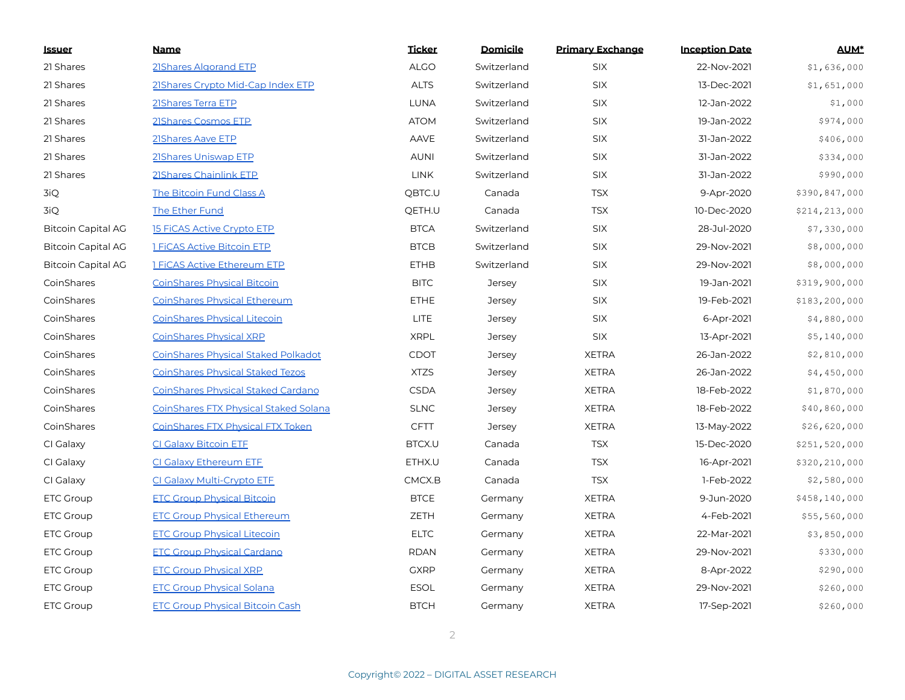| <b>Issuer</b>             | <b>Name</b>                                  | <b>Ticker</b> | <b>Domicile</b> | <b>Primary Exchange</b> | <b>Inception Date</b> | <b>AUM*</b>   |
|---------------------------|----------------------------------------------|---------------|-----------------|-------------------------|-----------------------|---------------|
| 21 Shares                 | 21Shares Algorand ETP                        | <b>ALGO</b>   | Switzerland     | <b>SIX</b>              | 22-Nov-2021           | \$1,636,000   |
| 21 Shares                 | 21 Shares Crypto Mid-Cap Index ETP           | <b>ALTS</b>   | Switzerland     | <b>SIX</b>              | 13-Dec-2021           | \$1,651,000   |
| 21 Shares                 | 21Shares Terra ETP                           | <b>LUNA</b>   | Switzerland     | <b>SIX</b>              | 12-Jan-2022           | \$1,000       |
| 21 Shares                 | 21Shares Cosmos ETP                          | <b>ATOM</b>   | Switzerland     | <b>SIX</b>              | 19-Jan-2022           | \$974,000     |
| 21 Shares                 | 21Shares Aave ETP                            | <b>AAVE</b>   | Switzerland     | <b>SIX</b>              | 31-Jan-2022           | \$406,000     |
| 21 Shares                 | 21Shares Uniswap ETP                         | <b>AUNI</b>   | Switzerland     | <b>SIX</b>              | 31-Jan-2022           | \$334,000     |
| 21 Shares                 | 21Shares Chainlink ETP                       | <b>LINK</b>   | Switzerland     | <b>SIX</b>              | 31-Jan-2022           | \$990,000     |
| 3iQ                       | The Bitcoin Fund Class A                     | QBTC.U        | Canada          | <b>TSX</b>              | 9-Apr-2020            | \$390,847,000 |
| 3iQ                       | <b>The Ether Fund</b>                        | QETH.U        | Canada          | <b>TSX</b>              | 10-Dec-2020           | \$214,213,000 |
| <b>Bitcoin Capital AG</b> | <b>15 FICAS Active Crypto ETP</b>            | <b>BTCA</b>   | Switzerland     | SIX                     | 28-Jul-2020           | \$7,330,000   |
| <b>Bitcoin Capital AG</b> | <b>1 FiCAS Active Bitcoin ETP</b>            | <b>BTCB</b>   | Switzerland     | <b>SIX</b>              | 29-Nov-2021           | \$8,000,000   |
| <b>Bitcoin Capital AG</b> | <b>1 FICAS Active Ethereum ETP</b>           | <b>ETHB</b>   | Switzerland     | <b>SIX</b>              | 29-Nov-2021           | \$8,000,000   |
| CoinShares                | <b>CoinShares Physical Bitcoin</b>           | <b>BITC</b>   | <b>Jersey</b>   | <b>SIX</b>              | 19-Jan-2021           | \$319,900,000 |
| CoinShares                | <b>CoinShares Physical Ethereum</b>          | <b>ETHE</b>   | <b>Jersey</b>   | <b>SIX</b>              | 19-Feb-2021           | \$183,200,000 |
| CoinShares                | <b>CoinShares Physical Litecoin</b>          | <b>LITE</b>   | <b>Jersey</b>   | <b>SIX</b>              | 6-Apr-2021            | \$4,880,000   |
| CoinShares                | <b>CoinShares Physical XRP</b>               | <b>XRPL</b>   | <b>Jersey</b>   | <b>SIX</b>              | 13-Apr-2021           | \$5,140,000   |
| CoinShares                | <b>CoinShares Physical Staked Polkadot</b>   | <b>CDOT</b>   | Jersey          | <b>XETRA</b>            | 26-Jan-2022           | \$2,810,000   |
| CoinShares                | <b>CoinShares Physical Staked Tezos</b>      | <b>XTZS</b>   | <b>Jersey</b>   | <b>XETRA</b>            | 26-Jan-2022           | \$4,450,000   |
| CoinShares                | CoinShares Physical Staked Cardano           | <b>CSDA</b>   | Jersey          | <b>XETRA</b>            | 18-Feb-2022           | \$1,870,000   |
| CoinShares                | <b>CoinShares FTX Physical Staked Solana</b> | <b>SLNC</b>   | <b>Jersey</b>   | <b>XETRA</b>            | 18-Feb-2022           | \$40,860,000  |
| CoinShares                | <u>CoinShares FTX Physical FTX Token</u>     | <b>CFTT</b>   | <b>Jersey</b>   | <b>XETRA</b>            | 13-May-2022           | \$26,620,000  |
| CI Galaxy                 | <b>CI Galaxy Bitcoin ETE</b>                 | BTCX.U        | Canada          | <b>TSX</b>              | 15-Dec-2020           | \$251,520,000 |
| CI Galaxy                 | CI Galaxy Ethereum ETF                       | ETHX.U        | Canada          | <b>TSX</b>              | 16-Apr-2021           | \$320,210,000 |
| CI Galaxy                 | CI Galaxy Multi-Crypto ETF                   | CMCX.B        | Canada          | <b>TSX</b>              | 1-Feb-2022            | \$2,580,000   |
| <b>ETC Group</b>          | <b>ETC Group Physical Bitcoin</b>            | <b>BTCE</b>   | Germany         | <b>XETRA</b>            | 9-Jun-2020            | \$458,140,000 |
| <b>ETC Group</b>          | <b>ETC Group Physical Ethereum</b>           | ZETH          | Germany         | <b>XETRA</b>            | 4-Feb-2021            | \$55,560,000  |
| <b>ETC Group</b>          | <b>ETC Group Physical Litecoin</b>           | <b>ELTC</b>   | Germany         | <b>XETRA</b>            | 22-Mar-2021           | \$3,850,000   |
| <b>ETC Group</b>          | <b>ETC Group Physical Cardano</b>            | <b>RDAN</b>   | Germany         | <b>XETRA</b>            | 29-Nov-2021           | \$330,000     |
| <b>ETC Group</b>          | <b>ETC Group Physical XRP</b>                | <b>GXRP</b>   | Germany         | <b>XETRA</b>            | 8-Apr-2022            | \$290,000     |
| <b>ETC Group</b>          | <b>ETC Group Physical Solana</b>             | <b>ESOL</b>   | Germany         | <b>XETRA</b>            | 29-Nov-2021           | \$260,000     |
| <b>ETC Group</b>          | <b>ETC Group Physical Bitcoin Cash</b>       | <b>BTCH</b>   | Germany         | <b>XETRA</b>            | 17-Sep-2021           | \$260,000     |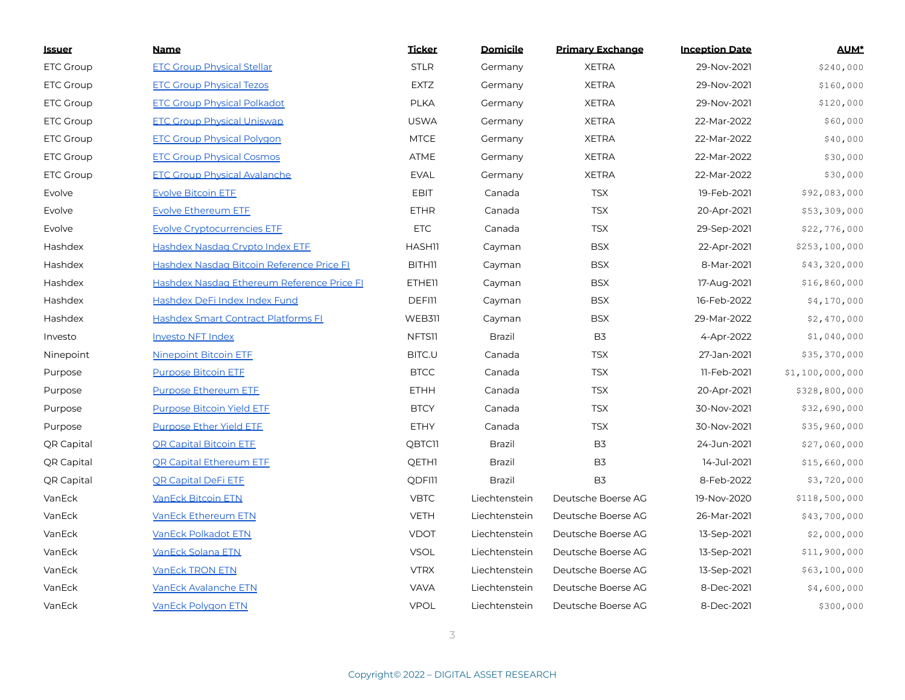| <u>Issuer</u>    | <b>Name</b>                                | <b>Ticker</b> | Domicile      | <b>Primary Exchange</b> | <b>Inception Date</b> | <b>AUM*</b>     |
|------------------|--------------------------------------------|---------------|---------------|-------------------------|-----------------------|-----------------|
| <b>ETC Group</b> | <b>ETC Group Physical Stellar</b>          | <b>STLR</b>   | Germany       | <b>XETRA</b>            | 29-Nov-2021           | \$240,000       |
| <b>ETC Group</b> | <b>ETC Group Physical Tezos</b>            | <b>EXTZ</b>   | Germany       | <b>XETRA</b>            | 29-Nov-2021           | \$160,000       |
| <b>ETC Group</b> | <b>ETC Group Physical Polkadot</b>         | <b>PLKA</b>   | Germany       | <b>XETRA</b>            | 29-Nov-2021           | \$120,000       |
| <b>ETC Group</b> | <b>ETC Group Physical Uniswap</b>          | <b>USWA</b>   | Germany       | <b>XETRA</b>            | 22-Mar-2022           | \$60,000        |
| <b>ETC Group</b> | <b>ETC Group Physical Polygon</b>          | <b>MTCE</b>   | Germany       | <b>XETRA</b>            | 22-Mar-2022           | \$40,000        |
| <b>ETC Group</b> | <b>ETC Group Physical Cosmos</b>           | ATME          | Germany       | <b>XETRA</b>            | 22-Mar-2022           | \$30,000        |
| <b>ETC Group</b> | <b>ETC Group Physical Avalanche</b>        | <b>EVAL</b>   | Germany       | <b>XETRA</b>            | 22-Mar-2022           | \$30,000        |
| Evolve           | <b>Evolve Bitcoin ETF</b>                  | <b>EBIT</b>   | Canada        | <b>TSX</b>              | 19-Feb-2021           | \$92,083,000    |
| Evolve           | <b>Evolve Ethereum ETE</b>                 | <b>ETHR</b>   | Canada        | <b>TSX</b>              | 20-Apr-2021           | \$53,309,000    |
| Evolve           | <b>Evolve Cryptocurrencies ETF</b>         | <b>ETC</b>    | Canada        | <b>TSX</b>              | 29-Sep-2021           | \$22,776,000    |
| Hashdex          | Hashdex Nasdag Crypto Index ETE            | <b>HASH11</b> | Cayman        | <b>BSX</b>              | 22-Apr-2021           | \$253,100,000   |
| Hashdex          | Hashdex Nasdaq Bitcoin Reference Price FI  | <b>BITH11</b> | Cayman        | <b>BSX</b>              | 8-Mar-2021            | \$43,320,000    |
| Hashdex          | Hashdex Nasdaq Ethereum Reference Price FI | <b>ETHEII</b> | Cayman        | <b>BSX</b>              | 17-Aug-2021           | \$16,860,000    |
| Hashdex          | Hashdex DeFi Index Index Fund              | <b>DEFIII</b> | Cayman        | <b>BSX</b>              | 16-Feb-2022           | \$4,170,000     |
| Hashdex          | Hashdex Smart Contract Platforms FL        | <b>WEB311</b> | Cayman        | <b>BSX</b>              | 29-Mar-2022           | \$2,470,000     |
| Investo          | <b>Investo NFT Index</b>                   | NFTS11        | <b>Brazil</b> | B <sub>3</sub>          | 4-Apr-2022            | \$1,040,000     |
| Ninepoint        | <b>Ninepoint Bitcoin ETF</b>               | BITC.U        | Canada        | <b>TSX</b>              | 27-Jan-2021           | \$35,370,000    |
| Purpose          | <b>Purpose Bitcoin ETE</b>                 | <b>BTCC</b>   | Canada        | <b>TSX</b>              | 11-Feb-2021           | \$1,100,000,000 |
| Purpose          | <b>Purpose Ethereum ETE</b>                | <b>ETHH</b>   | Canada        | <b>TSX</b>              | 20-Apr-2021           | \$328,800,000   |
| Purpose          | <b>Purpose Bitcoin Yield ETF</b>           | <b>BTCY</b>   | Canada        | <b>TSX</b>              | 30-Nov-2021           | \$32,690,000    |
| Purpose          | <b>Purpose Ether Yield ETE</b>             | <b>ETHY</b>   | Canada        | <b>TSX</b>              | 30-Nov-2021           | \$35,960,000    |
| QR Capital       | <b>OR Capital Bitcoin ETE</b>              | <b>QBTC11</b> | Brazil        | B <sub>3</sub>          | 24-Jun-2021           | \$27,060,000    |
| QR Capital       | <b>QR Capital Ethereum ETF</b>             | <b>QETH1</b>  | Brazil        | B <sub>3</sub>          | 14-Jul-2021           | \$15,660,000    |
| QR Capital       | QR Capital DeFi ETF                        | <b>QDFI11</b> | Brazil        | B <sub>3</sub>          | 8-Feb-2022            | \$3,720,000     |
| VanEck           | <b>VanEck Bitcoin ETN</b>                  | <b>VBTC</b>   | Liechtenstein | Deutsche Boerse AG      | 19-Nov-2020           | \$118,500,000   |
| VanEck           | <b>VanEck Ethereum ETN</b>                 | <b>VETH</b>   | Liechtenstein | Deutsche Boerse AG      | 26-Mar-2021           | \$43,700,000    |
| VanEck           | VanEck Polkadot ETN                        | <b>VDOT</b>   | Liechtenstein | Deutsche Boerse AG      | 13-Sep-2021           | \$2,000,000     |
| VanEck           | <b>VanEck Solana ETN</b>                   | <b>VSOL</b>   | Liechtenstein | Deutsche Boerse AG      | 13-Sep-2021           | \$11,900,000    |
| VanEck           | <b>VanEck TRON ETN</b>                     | <b>VTRX</b>   | Liechtenstein | Deutsche Boerse AG      | 13-Sep-2021           | \$63,100,000    |
| VanEck           | <b>VanEck Avalanche ETN</b>                | <b>VAVA</b>   | Liechtenstein | Deutsche Boerse AG      | 8-Dec-2021            | \$4,600,000     |
| VanEck           | <b>VanEck Polygon ETN</b>                  | <b>VPOL</b>   | Liechtenstein | Deutsche Boerse AG      | 8-Dec-2021            | \$300,000       |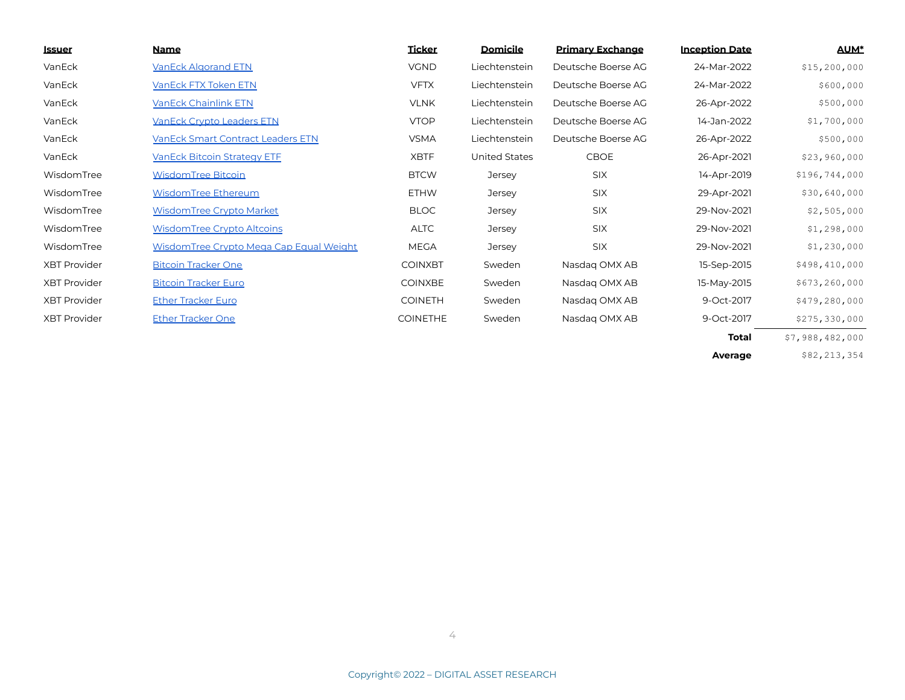| <u>lssuer</u>       | Name                                     | <b>Ticker</b>   | <b>Domicile</b>      | <b>Primary Exchange</b> | <b>Inception Date</b> | <b>AUM*</b>     |
|---------------------|------------------------------------------|-----------------|----------------------|-------------------------|-----------------------|-----------------|
| VanEck              | <b>VanEck Algorand ETN</b>               | <b>VGND</b>     | Liechtenstein        | Deutsche Boerse AG      | 24-Mar-2022           | \$15, 200, 000  |
| VanEck              | VanEck FTX Token ETN                     | <b>VFTX</b>     | Liechtenstein        | Deutsche Boerse AG      | 24-Mar-2022           | \$600,000       |
| VanEck              | <b>VanEck Chainlink ETN</b>              | <b>VLNK</b>     | Liechtenstein        | Deutsche Boerse AG      | 26-Apr-2022           | \$500,000       |
| VanEck              | <b>VanEck Crypto Leaders ETN</b>         | <b>VTOP</b>     | Liechtenstein        | Deutsche Boerse AG      | 14-Jan-2022           | \$1,700,000     |
| VanEck              | <b>VanEck Smart Contract Leaders ETN</b> | <b>VSMA</b>     | Liechtenstein        | Deutsche Boerse AG      | 26-Apr-2022           | \$500,000       |
| VanEck              | <b>VanEck Bitcoin Strategy ETF</b>       | <b>XBTF</b>     | <b>United States</b> | CBOE                    | 26-Apr-2021           | \$23,960,000    |
| WisdomTree          | WisdomTree Bitcoin                       | <b>BTCW</b>     | Jersey               | <b>SIX</b>              | 14-Apr-2019           | \$196,744,000   |
| WisdomTree          | WisdomTree Ethereum                      | <b>ETHW</b>     | Jersey               | <b>SIX</b>              | 29-Apr-2021           | \$30,640,000    |
| WisdomTree          | WisdomTree Crypto Market                 | <b>BLOC</b>     | Jersey               | <b>SIX</b>              | 29-Nov-2021           | \$2,505,000     |
| WisdomTree          | WisdomTree Crypto Altcoins               | <b>ALTC</b>     | Jersey               | <b>SIX</b>              | 29-Nov-2021           | \$1,298,000     |
| WisdomTree          | WisdomTree Crypto Mega Cap Equal Weight  | <b>MEGA</b>     | Jersey               | <b>SIX</b>              | 29-Nov-2021           | \$1,230,000     |
| <b>XBT Provider</b> | <b>Bitcoin Tracker One</b>               | <b>COINXBT</b>  | Sweden               | Nasdag OMX AB           | 15-Sep-2015           | \$498,410,000   |
| <b>XBT Provider</b> | <b>Bitcoin Tracker Euro</b>              | <b>COINXBE</b>  | Sweden               | Nasdag OMX AB           | 15-May-2015           | \$673, 260, 000 |
| <b>XBT Provider</b> | <b>Ether Tracker Euro</b>                | <b>COINETH</b>  | Sweden               | Nasdag OMX AB           | 9-Oct-2017            | \$479,280,000   |
| <b>XBT Provider</b> | <b>Ether Tracker One</b>                 | <b>COINETHE</b> | Sweden               | Nasdag OMX AB           | 9-Oct-2017            | \$275,330,000   |
|                     |                                          |                 |                      |                         | <b>Total</b>          | \$7,988,482,000 |

**Average** \$82,213,354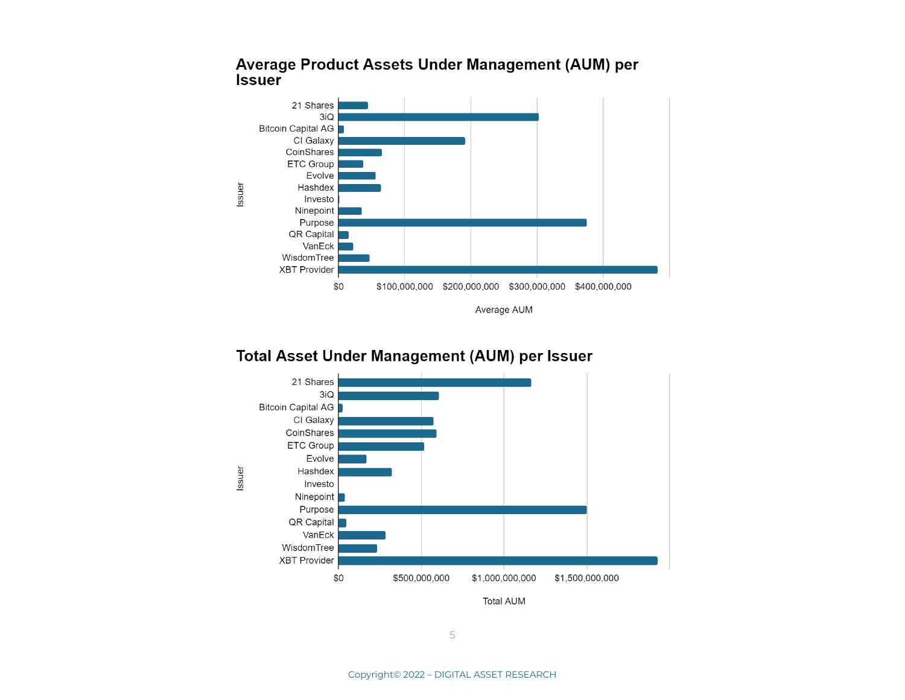

#### Average Product Assets Under Management (AUM) per **Issuer**

#### Total Asset Under Management (AUM) per Issuer

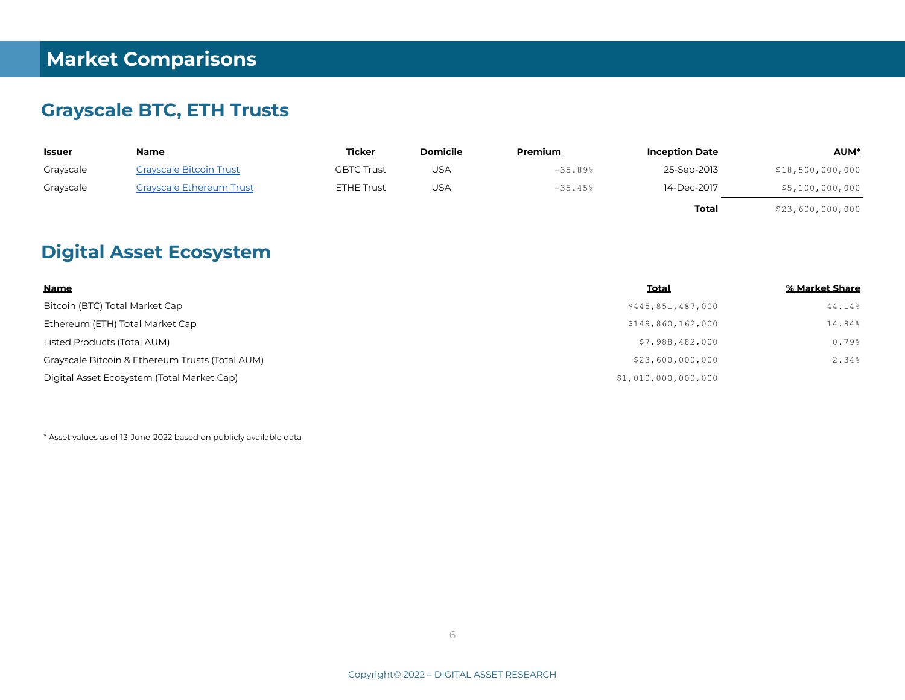#### **Grayscale BTC, ETH Trusts**

| <u>Issuer</u> | <u>Name</u>                     | <b>Ticker</b>     | <b>Domicile</b> | Premium   | <b>Inception Date</b> | <b>AUM*</b>      |
|---------------|---------------------------------|-------------------|-----------------|-----------|-----------------------|------------------|
| Grayscale     | <b>Grayscale Bitcoin Trust</b>  | <b>GBTC Trust</b> | USA             | $-35.89%$ | 25-Sep-2013           | \$18,500,000,000 |
| Grayscale     | <b>Grayscale Ethereum Trust</b> | ETHE Trust        | USA             | $-35.45%$ | 14-Dec-2017           | \$5,100,000,000  |
|               |                                 |                   |                 |           | Total                 | \$23,600,000,000 |

#### **Digital Asset Ecosystem**

| <b>Name</b>                                     | <b>Total</b>        | % Market Share |
|-------------------------------------------------|---------------------|----------------|
| Bitcoin (BTC) Total Market Cap                  | \$445,851,487,000   | 44.14%         |
| Ethereum (ETH) Total Market Cap                 | \$149,860,162,000   | 14.84%         |
| Listed Products (Total AUM)                     | \$7,988,482,000     | 0.79%          |
| Grayscale Bitcoin & Ethereum Trusts (Total AUM) | \$23,600,000,000    | 2.34%          |
| Digital Asset Ecosystem (Total Market Cap)      | \$1,010,000,000,000 |                |

\* Asset values as of 13-June-2022 based on publicly available data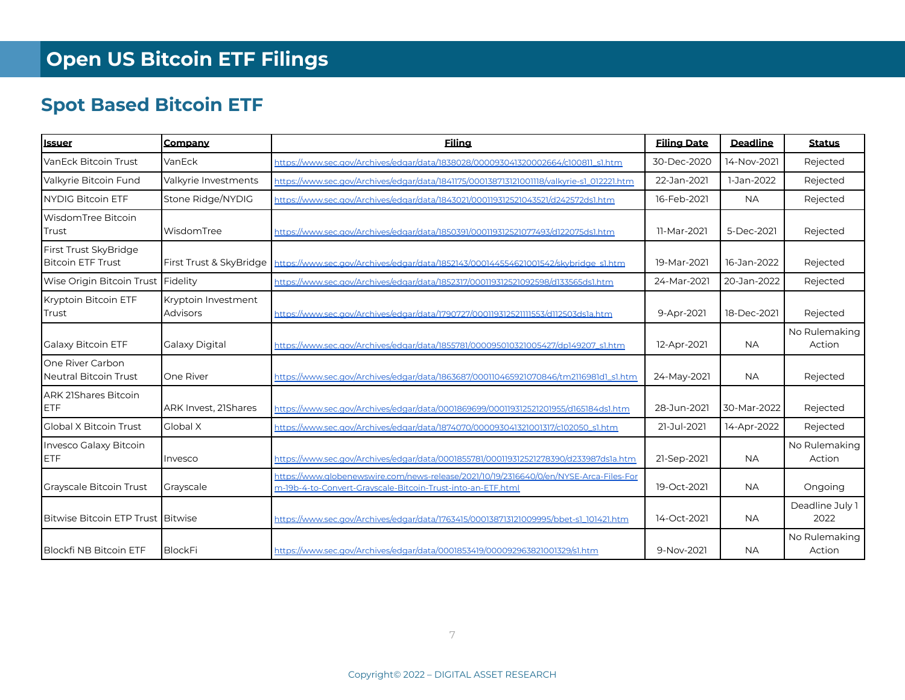# **Spot Based Bitcoin ETF**

| <b>Issuer</b>                                     | Company                                | <b>Filing</b>                                                                                                                                         | <b>Filing Date</b> | <b>Deadline</b> | <b>Status</b>           |
|---------------------------------------------------|----------------------------------------|-------------------------------------------------------------------------------------------------------------------------------------------------------|--------------------|-----------------|-------------------------|
| VanEck Bitcoin Trust                              | VanEck                                 | https://www.sec.gov/Archives/edgar/data/1838028/000093041320002664/c100811_s1.htm                                                                     | 30-Dec-2020        | 14-Nov-2021     | Rejected                |
| Valkyrie Bitcoin Fund                             | Valkyrie Investments                   | https://www.sec.gov/Archives/edgar/data/1841175/000138713121001118/valkyrie-s1_012221.htm                                                             | 22-Jan-2021        | 1-Jan-2022      | Rejected                |
| <b>NYDIG Bitcoin ETF</b>                          | Stone Ridge/NYDIG                      | https://www.sec.gov/Archives/edgar/data/1843021/000119312521043521/d242572ds1.htm                                                                     | 16-Feb-2021        | <b>NA</b>       | Rejected                |
| WisdomTree Bitcoin<br>Trust                       | WisdomTree                             | https://www.sec.gov/Archives/edgar/data/1850391/000119312521077493/d122075ds1.htm                                                                     | 11-Mar-2021        | 5-Dec-2021      | Rejected                |
| First Trust SkyBridge<br><b>Bitcoin ETF Trust</b> | First Trust & SkyBridge                | https://www.sec.gov/Archives/edgar/data/1852143/000144554621001542/skybridge_s1.htm                                                                   | 19-Mar-2021        | 16-Jan-2022     | Rejected                |
| Wise Origin Bitcoin Trust Fidelity                |                                        | https://www.sec.gov/Archives/edgar/data/1852317/000119312521092598/d133565ds1.htm                                                                     | 24-Mar-2021        | 20-Jan-2022     | Rejected                |
| Kryptoin Bitcoin ETF<br><b>Trust</b>              | Kryptoin Investment<br><b>Advisors</b> | https://www.sec.gov/Archives/edgar/data/1790727/000119312521111553/d112503ds1a.htm                                                                    | 9-Apr-2021         | 18-Dec-2021     | Rejected                |
| Galaxy Bitcoin ETF                                | Galaxy Digital                         | https://www.sec.gov/Archives/edgar/data/1855781/000095010321005427/dp149207_s1.htm                                                                    | 12-Apr-2021        | <b>NA</b>       | No Rulemaking<br>Action |
| One River Carbon<br>Neutral Bitcoin Trust         | One River                              | https://www.sec.gov/Archives/edgar/data/1863687/000110465921070846/tm2116981d1_s1.htm                                                                 | 24-May-2021        | <b>NA</b>       | Rejected                |
| <b>ARK 21Shares Bitcoin</b><br><b>ETF</b>         | ARK Invest, 21Shares                   | https://www.sec.gov/Archives/edgar/data/0001869699/000119312521201955/d165184ds1.htm                                                                  | 28-Jun-2021        | 30-Mar-2022     | Rejected                |
| Global X Bitcoin Trust                            | Global X                               | https://www.sec.gov/Archives/edgar/data/1874070/000093041321001317/c102050_s1.htm                                                                     | 21-Jul-2021        | 14-Apr-2022     | Rejected                |
| Invesco Galaxy Bitcoin<br><b>IETF</b>             | Invesco                                | https://www.sec.gov/Archives/edgar/data/0001855781/000119312521278390/d233987ds1a.htm                                                                 | 21-Sep-2021        | <b>NA</b>       | No Rulemaking<br>Action |
| <b>Grayscale Bitcoin Trust</b>                    | Grayscale                              | https://www.qlobenewswire.com/news-release/2021/10/19/2316640/0/en/NYSE-Arca-Files-For<br>m-19b-4-to-Convert-Grayscale-Bitcoin-Trust-into-an-ETF.html | 19-Oct-2021        | <b>NA</b>       | Ongoing                 |
| Bitwise Bitcoin ETP Trust Bitwise                 |                                        | https://www.sec.gov/Archives/edgar/data/1763415/000138713121009995/bbet-s1_101421.htm                                                                 | 14-Oct-2021        | <b>NA</b>       | Deadline July 1<br>2022 |
| <b>Blockfi NB Bitcoin ETF</b>                     | <b>BlockFi</b>                         | https://www.sec.gov/Archives/edgar/data/0001853419/000092963821001329/s1.htm                                                                          | 9-Nov-2021         | <b>NA</b>       | No Rulemaking<br>Action |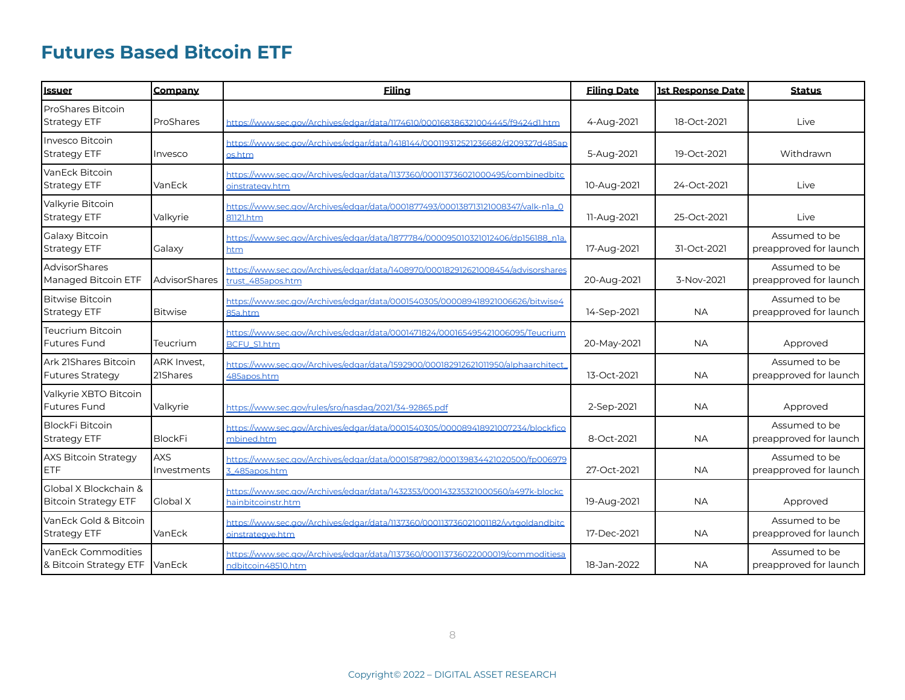### **Futures Based Bitcoin ETF**

| <b>Issuer</b>                                        | Company                   | Eiling                                                                                                | <b>Filing Date</b> | <b>1st Response Date</b> | <b>Status</b>                           |
|------------------------------------------------------|---------------------------|-------------------------------------------------------------------------------------------------------|--------------------|--------------------------|-----------------------------------------|
| <b>ProShares Bitcoin</b><br><b>Strategy ETF</b>      | ProShares                 | https://www.sec.gov/Archives/edgar/data/1174610/000168386321004445/f9424d1.htm                        | 4-Aug-2021         | 18-Oct-2021              | Live                                    |
| Invesco Bitcoin<br>Strategy ETF                      | Invesco                   | https://www.sec.gov/Archives/edgar/data/1418144/000119312521236682/d209327d485ap<br>os.htm            | 5-Aug-2021         | 19-Oct-2021              | Withdrawn                               |
| VanEck Bitcoin<br><b>Strategy ETF</b>                | VanEck                    | https://www.sec.gov/Archives/edgar/data/1137360/000113736021000495/combinedbitc<br>oinstrategy.htm    | 10-Aug-2021        | 24-Oct-2021              | Live                                    |
| Valkyrie Bitcoin<br><b>Strategy ETF</b>              | Valkyrie                  | https://www.sec.gov/Archives/edgar/data/0001877493/000138713121008347/valk-n1a_0<br>81121.htm         | 11-Aug-2021        | 25-Oct-2021              | Live                                    |
| Galaxy Bitcoin<br><b>Strategy ETF</b>                | Galaxy                    | https://www.sec.gov/Archives/edgar/data/1877784/000095010321012406/dp156188_n1a<br>htm                | 17-Aug-2021        | 31-Oct-2021              | Assumed to be<br>preapproved for launch |
| AdvisorShares<br>Managed Bitcoin ETF                 | AdvisorShares             | https://www.sec.gov/Archives/edgar/data/1408970/000182912621008454/advisorshares<br>trust_485apos.htm | 20-Aug-2021        | 3-Nov-2021               | Assumed to be<br>preapproved for launch |
| <b>Bitwise Bitcoin</b><br><b>Strategy ETF</b>        | <b>Bitwise</b>            | https://www.sec.gov/Archives/edgar/data/0001540305/000089418921006626/bitwise4<br>85a.htm             | 14-Sep-2021        | <b>NA</b>                | Assumed to be<br>preapproved for launch |
| Teucrium Bitcoin<br><b>Futures Fund</b>              | Teucrium                  | https://www.sec.gov/Archives/edgar/data/0001471824/000165495421006095/Teucrium<br>BCFU_S1.htm         | 20-May-2021        | <b>NA</b>                | Approved                                |
| Ark 21Shares Bitcoin<br><b>Futures Strategy</b>      | ARK Invest.<br>21Shares   | https://www.sec.gov/Archives/edgar/data/1592900/000182912621011950/alphaarchitect<br>485apos.htm      | 13-Oct-2021        | <b>NA</b>                | Assumed to be<br>preapproved for launch |
| Valkyrie XBTO Bitcoin<br><b>Futures Fund</b>         | Valkyrie                  | https://www.sec.gov/rules/sro/nasdag/2021/34-92865.pdf                                                | 2-Sep-2021         | <b>NA</b>                | Approved                                |
| <b>BlockFi Bitcoin</b><br>Strategy ETF               | <b>BlockFi</b>            | https://www.sec.gov/Archives/edgar/data/0001540305/000089418921007234/blockfico<br>mbined.htm         | 8-Oct-2021         | <b>NA</b>                | Assumed to be<br>preapproved for launch |
| <b>AXS Bitcoin Strategy</b><br><b>ETF</b>            | <b>AXS</b><br>Investments | https://www.sec.gov/Archives/edgar/data/0001587982/000139834421020500/fp006979<br>3_485apos.htm       | 27-Oct-2021        | <b>NA</b>                | Assumed to be<br>preapproved for launch |
| Global X Blockchain &<br><b>Bitcoin Strategy ETF</b> | <b>Global X</b>           | https://www.sec.gov/Archives/edgar/data/1432353/000143235321000560/a497k-blockc<br>hainbitcoinstr.htm | 19-Aug-2021        | <b>NA</b>                | Approved                                |
| VanEck Gold & Bitcoin<br><b>Strategy ETF</b>         | VanEck                    | https://www.sec.gov/Archives/edgar/data/1137360/000113736021001182/vytgoldandbitc<br>oinstrategye.htm | 17-Dec-2021        | <b>NA</b>                | Assumed to be<br>preapproved for launch |
| VanEck Commodities<br>& Bitcoin Strategy ETF VanEck  |                           | https://www.sec.gov/Archives/edgar/data/1137360/000113736022000019/commoditiesa<br>ndbitcoin48510.htm | 18-Jan-2022        | <b>NA</b>                | Assumed to be<br>preapproved for launch |